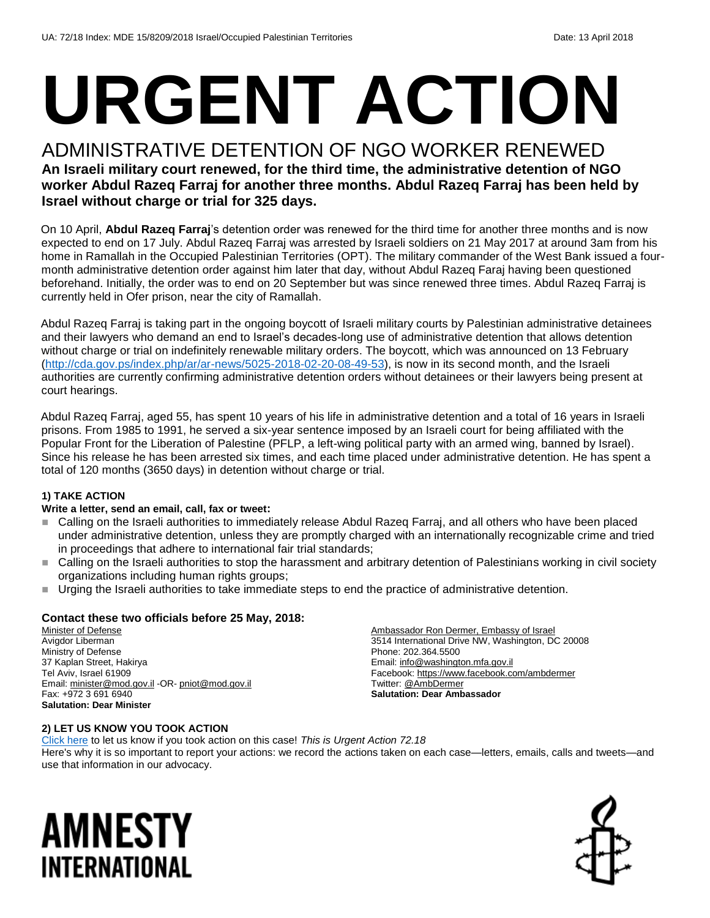# **URGENT ACTION**

#### ADMINISTRATIVE DETENTION OF NGO WORKER RENEWED **An Israeli military court renewed, for the third time, the administrative detention of NGO worker Abdul Razeq Farraj for another three months. Abdul Razeq Farraj has been held by Israel without charge or trial for 325 days.**

On 10 April, **Abdul Razeq Farraj**'s detention order was renewed for the third time for another three months and is now expected to end on 17 July. Abdul Razeq Farraj was arrested by Israeli soldiers on 21 May 2017 at around 3am from his home in Ramallah in the Occupied Palestinian Territories (OPT). The military commander of the West Bank issued a fourmonth administrative detention order against him later that day, without Abdul Razeq Faraj having been questioned beforehand. Initially, the order was to end on 20 September but was since renewed three times. Abdul Razeq Farraj is currently held in Ofer prison, near the city of Ramallah.

Abdul Razeq Farraj is taking part in the ongoing boycott of Israeli military courts by Palestinian administrative detainees and their lawyers who demand an end to Israel's decades-long use of administrative detention that allows detention without charge or trial on indefinitely renewable military orders. The boycott, which was announced on 13 February [\(http://cda.gov.ps/index.php/ar/ar-news/5025-2018-02-20-08-49-53\)](http://cda.gov.ps/index.php/ar/ar-news/5025-2018-02-20-08-49-53), is now in its second month, and the Israeli authorities are currently confirming administrative detention orders without detainees or their lawyers being present at court hearings.

Abdul Razeq Farraj, aged 55, has spent 10 years of his life in administrative detention and a total of 16 years in Israeli prisons. From 1985 to 1991, he served a six-year sentence imposed by an Israeli court for being affiliated with the Popular Front for the Liberation of Palestine (PFLP, a left-wing political party with an armed wing, banned by Israel). Since his release he has been arrested six times, and each time placed under administrative detention. He has spent a total of 120 months (3650 days) in detention without charge or trial.

#### **1) TAKE ACTION**

#### **Write a letter, send an email, call, fax or tweet:**

- Calling on the Israeli authorities to immediately release Abdul Razeq Farraj, and all others who have been placed under administrative detention, unless they are promptly charged with an internationally recognizable crime and tried in proceedings that adhere to international fair trial standards;
- Calling on the Israeli authorities to stop the harassment and arbitrary detention of Palestinians working in civil society organizations including human rights groups;
- Urging the Israeli authorities to take immediate steps to end the practice of administrative detention.

#### **Contact these two officials before 25 May, 2018:**

Minister of Defense Avigdor Liberman Ministry of Defense 37 Kaplan Street, Hakirya Tel Aviv, Israel 61909 Email[: minister@mod.gov.il](mailto:minister@mod.gov.il) -OR- [pniot@mod.gov.il](mailto:pniot@mod.gov.il) Fax: +972 3 691 6940 **Salutation: Dear Minister**

Ambassador Ron Dermer, Embassy of Israel 3514 International Drive NW, Washington, DC 20008 Phone: 202.364.5500 Email[: info@washington.mfa.gov.il](mailto:info@washington.mfa.gov.il) Facebook[: https://www.facebook.com/ambdermer](https://www.facebook.com/ambdermer) Twitter[: @AmbDermer](file:///C:/Users/iar3team/AppData/Local/Microsoft/Windows/INetCache/Content.Outlook/47QF1R6R/twitter.com/AmbDermer) **Salutation: Dear Ambassador**

#### **2) LET US KNOW YOU TOOK ACTION**

[Click here](https://www.amnestyusa.org/report-urgent-actions/) to let us know if you took action on this case! *This is Urgent Action 72.18* Here's why it is so important to report your actions: we record the actions taken on each case—letters, emails, calls and tweets—and use that information in our advocacy.

### AMNESTY INTERNATIONAL